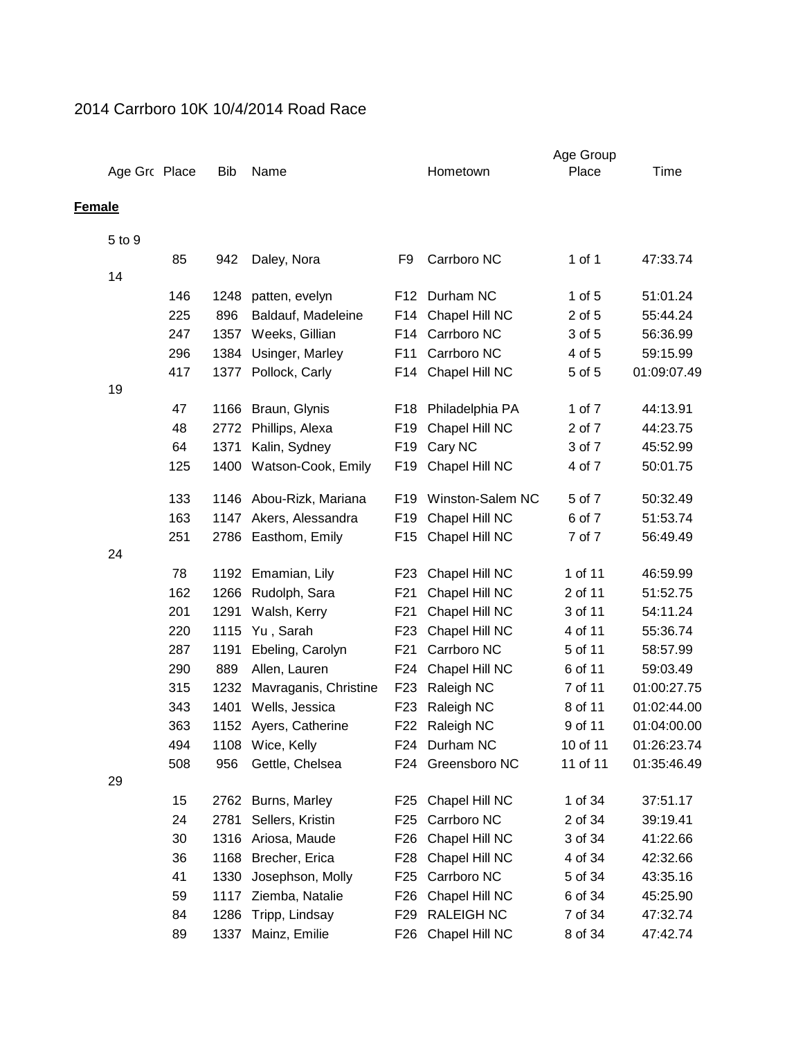## 2014 Carrboro 10K 10/4/2014 Road Race

|               |               |     |            |                       |                 |                    | Age Group  |             |
|---------------|---------------|-----|------------|-----------------------|-----------------|--------------------|------------|-------------|
|               | Age Grc Place |     | <b>Bib</b> | Name                  |                 | Hometown           | Place      | Time        |
| <b>Female</b> |               |     |            |                       |                 |                    |            |             |
|               | 5 to 9        |     |            |                       |                 |                    |            |             |
|               |               | 85  | 942        |                       | F <sub>9</sub>  | Carrboro NC        | $1$ of $1$ | 47:33.74    |
|               | 14            |     |            | Daley, Nora           |                 |                    |            |             |
|               |               | 146 | 1248       | patten, evelyn        | F12             | Durham NC          | $1$ of $5$ | 51:01.24    |
|               |               | 225 | 896        | Baldauf, Madeleine    | F14             | Chapel Hill NC     | 2 of 5     | 55:44.24    |
|               |               | 247 | 1357       | Weeks, Gillian        | F14             | Carrboro NC        | 3 of 5     | 56:36.99    |
|               |               | 296 | 1384       | Usinger, Marley       | F11             | Carrboro NC        | 4 of 5     | 59:15.99    |
|               |               | 417 | 1377       | Pollock, Carly        | F14             | Chapel Hill NC     | 5 of 5     | 01:09:07.49 |
|               | 19            |     |            |                       |                 |                    |            |             |
|               |               | 47  | 1166       | Braun, Glynis         | F18             | Philadelphia PA    | 1 of 7     | 44:13.91    |
|               |               | 48  | 2772       | Phillips, Alexa       | F19             | Chapel Hill NC     | 2 of 7     | 44:23.75    |
|               |               | 64  | 1371       | Kalin, Sydney         | F <sub>19</sub> | Cary NC            | 3 of 7     | 45:52.99    |
|               |               | 125 | 1400       | Watson-Cook, Emily    | F19             | Chapel Hill NC     | 4 of 7     | 50:01.75    |
|               |               |     |            |                       |                 |                    |            |             |
|               |               | 133 | 1146       | Abou-Rizk, Mariana    | F19             | Winston-Salem NC   | 5 of 7     | 50:32.49    |
|               |               | 163 | 1147       | Akers, Alessandra     | F <sub>19</sub> | Chapel Hill NC     | 6 of 7     | 51:53.74    |
|               |               | 251 | 2786       | Easthom, Emily        | F15             | Chapel Hill NC     | 7 of 7     | 56:49.49    |
|               | 24            |     |            |                       |                 |                    |            |             |
|               |               | 78  | 1192       | Emamian, Lily         | F23             | Chapel Hill NC     | 1 of 11    | 46:59.99    |
|               |               | 162 | 1266       | Rudolph, Sara         | F <sub>21</sub> | Chapel Hill NC     | 2 of 11    | 51:52.75    |
|               |               | 201 | 1291       | Walsh, Kerry          | F <sub>21</sub> | Chapel Hill NC     | 3 of 11    | 54:11.24    |
|               |               | 220 | 1115       | Yu, Sarah             | F <sub>23</sub> | Chapel Hill NC     | 4 of 11    | 55:36.74    |
|               |               | 287 | 1191       | Ebeling, Carolyn      | F <sub>21</sub> | Carrboro NC        | 5 of 11    | 58:57.99    |
|               |               | 290 | 889        | Allen, Lauren         | F <sub>24</sub> | Chapel Hill NC     | 6 of 11    | 59:03.49    |
|               |               | 315 | 1232       | Mavraganis, Christine | F <sub>23</sub> | Raleigh NC         | 7 of 11    | 01:00:27.75 |
|               |               | 343 | 1401       | Wells, Jessica        | F <sub>23</sub> | Raleigh NC         | 8 of 11    | 01:02:44.00 |
|               |               | 363 | 1152       | Ayers, Catherine      | F22             | Raleigh NC         | 9 of 11    | 01:04:00.00 |
|               |               | 494 |            | 1108 Wice, Kelly      |                 | F24 Durham NC      | 10 of 11   | 01:26:23.74 |
|               |               | 508 | 956        | Gettle, Chelsea       |                 | F24 Greensboro NC  | 11 of 11   | 01:35:46.49 |
|               | 29            |     |            |                       |                 |                    |            |             |
|               |               | 15  | 2762       | Burns, Marley         | F25             | Chapel Hill NC     | 1 of 34    | 37:51.17    |
|               |               | 24  | 2781       | Sellers, Kristin      | F25             | Carrboro NC        | 2 of 34    | 39:19.41    |
|               |               | 30  | 1316       | Ariosa, Maude         | F26             | Chapel Hill NC     | 3 of 34    | 41:22.66    |
|               |               | 36  | 1168       | Brecher, Erica        | F <sub>28</sub> | Chapel Hill NC     | 4 of 34    | 42:32.66    |
|               |               | 41  | 1330       | Josephson, Molly      | F <sub>25</sub> | Carrboro NC        | 5 of 34    | 43:35.16    |
|               |               | 59  | 1117       | Ziemba, Natalie       | F <sub>26</sub> | Chapel Hill NC     | 6 of 34    | 45:25.90    |
|               |               | 84  | 1286       | Tripp, Lindsay        | F29             | <b>RALEIGH NC</b>  | 7 of 34    | 47:32.74    |
|               |               | 89  | 1337       | Mainz, Emilie         |                 | F26 Chapel Hill NC | 8 of 34    | 47:42.74    |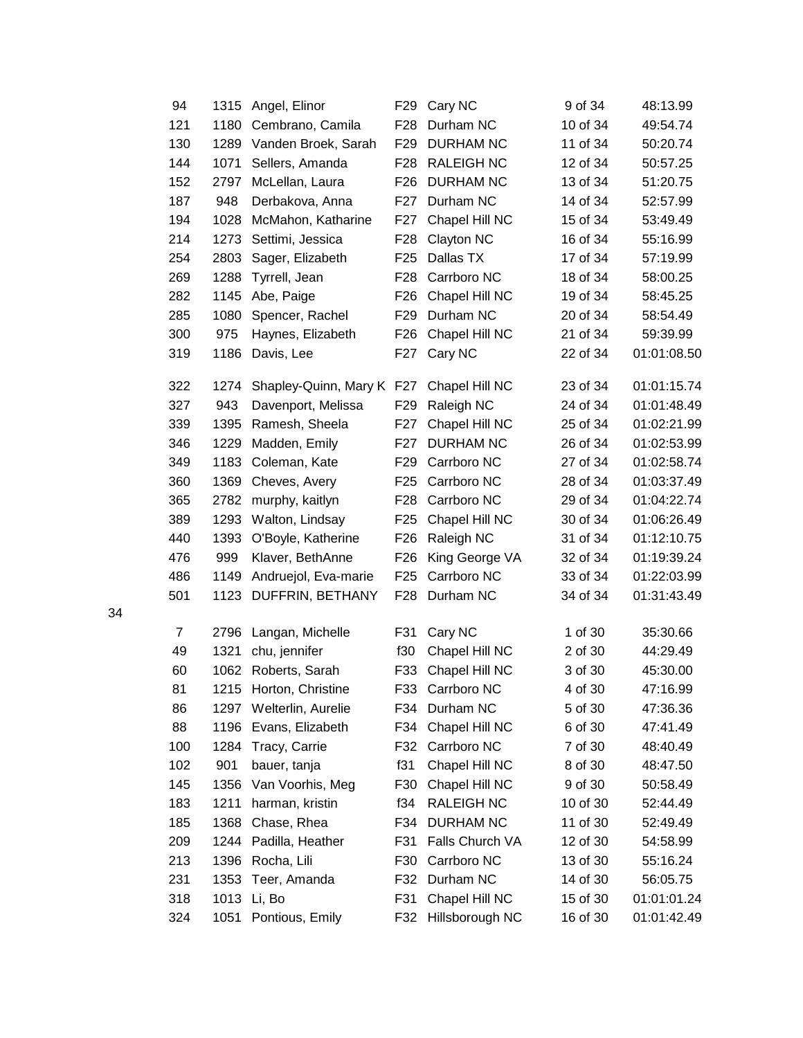|    | 94             | 1315 | Angel, Elinor             |                  | F29 Cary NC        | 9 of 34  | 48:13.99    |
|----|----------------|------|---------------------------|------------------|--------------------|----------|-------------|
|    | 121            | 1180 | Cembrano, Camila          | F <sub>28</sub>  | Durham NC          | 10 of 34 | 49:54.74    |
|    | 130            | 1289 | Vanden Broek, Sarah       | F <sub>29</sub>  | <b>DURHAM NC</b>   | 11 of 34 | 50:20.74    |
|    | 144            | 1071 | Sellers, Amanda           | F <sub>28</sub>  | <b>RALEIGH NC</b>  | 12 of 34 | 50:57.25    |
|    | 152            | 2797 | McLellan, Laura           | F <sub>26</sub>  | <b>DURHAM NC</b>   | 13 of 34 | 51:20.75    |
|    | 187            | 948  | Derbakova, Anna           | F27              | Durham NC          | 14 of 34 | 52:57.99    |
|    | 194            | 1028 | McMahon, Katharine        | F <sub>2</sub> 7 | Chapel Hill NC     | 15 of 34 | 53:49.49    |
|    | 214            | 1273 | Settimi, Jessica          | F28              | Clayton NC         | 16 of 34 | 55:16.99    |
|    | 254            | 2803 | Sager, Elizabeth          | F <sub>25</sub>  | Dallas TX          | 17 of 34 | 57:19.99    |
|    | 269            | 1288 | Tyrrell, Jean             | F <sub>28</sub>  | Carrboro NC        | 18 of 34 | 58:00.25    |
|    | 282            | 1145 | Abe, Paige                | F <sub>26</sub>  | Chapel Hill NC     | 19 of 34 | 58:45.25    |
|    | 285            | 1080 | Spencer, Rachel           | F <sub>29</sub>  | Durham NC          | 20 of 34 | 58:54.49    |
|    | 300            | 975  | Haynes, Elizabeth         | F <sub>26</sub>  | Chapel Hill NC     | 21 of 34 | 59:39.99    |
|    | 319            | 1186 | Davis, Lee                | F27              | Cary NC            | 22 of 34 | 01:01:08.50 |
|    | 322            | 1274 | Shapley-Quinn, Mary K F27 |                  | Chapel Hill NC     | 23 of 34 | 01:01:15.74 |
|    | 327            | 943  | Davenport, Melissa        | F <sub>29</sub>  | Raleigh NC         | 24 of 34 | 01:01:48.49 |
|    | 339            | 1395 | Ramesh, Sheela            | F <sub>27</sub>  | Chapel Hill NC     | 25 of 34 | 01:02:21.99 |
|    | 346            | 1229 | Madden, Emily             | F <sub>27</sub>  | <b>DURHAM NC</b>   | 26 of 34 | 01:02:53.99 |
|    | 349            | 1183 | Coleman, Kate             | F <sub>29</sub>  | Carrboro NC        | 27 of 34 | 01:02:58.74 |
|    | 360            | 1369 | Cheves, Avery             | F <sub>25</sub>  | Carrboro NC        | 28 of 34 | 01:03:37.49 |
|    | 365            | 2782 | murphy, kaitlyn           | F <sub>28</sub>  | Carrboro NC        | 29 of 34 | 01:04:22.74 |
|    | 389            | 1293 | Walton, Lindsay           | F <sub>25</sub>  | Chapel Hill NC     | 30 of 34 | 01:06:26.49 |
|    | 440            | 1393 | O'Boyle, Katherine        | F <sub>26</sub>  | Raleigh NC         | 31 of 34 | 01:12:10.75 |
|    | 476            | 999  | Klaver, BethAnne          | F <sub>26</sub>  | King George VA     | 32 of 34 | 01:19:39.24 |
|    | 486            | 1149 | Andruejol, Eva-marie      | F <sub>25</sub>  | Carrboro NC        | 33 of 34 | 01:22:03.99 |
|    | 501            | 1123 | DUFFRIN, BETHANY          |                  | F28 Durham NC      | 34 of 34 | 01:31:43.49 |
| 34 |                |      |                           |                  |                    |          |             |
|    | $\overline{7}$ | 2796 | Langan, Michelle          | F31              | Cary NC            | 1 of 30  | 35:30.66    |
|    | 49             | 1321 | chu, jennifer             | f30              | Chapel Hill NC     | 2 of 30  | 44:29.49    |
|    | 60             |      | 1062 Roberts, Sarah       |                  | F33 Chapel Hill NC | 3 of 30  | 45:30.00    |
|    | 81             |      | 1215 Horton, Christine    |                  | F33 Carrboro NC    | 4 of 30  | 47:16.99    |
|    | 86             | 1297 | Welterlin, Aurelie        | F34              | Durham NC          | 5 of 30  | 47:36.36    |
|    | 88             | 1196 | Evans, Elizabeth          | F34              | Chapel Hill NC     | 6 of 30  | 47:41.49    |
|    | 100            | 1284 | Tracy, Carrie             | F32              | Carrboro NC        | 7 of 30  | 48:40.49    |
|    | 102            | 901  | bauer, tanja              | f31              | Chapel Hill NC     | 8 of 30  | 48:47.50    |
|    | 145            | 1356 | Van Voorhis, Meg          | F30              | Chapel Hill NC     | 9 of 30  | 50:58.49    |
|    | 183            | 1211 | harman, kristin           | f34              | <b>RALEIGH NC</b>  | 10 of 30 | 52:44.49    |
|    | 185            | 1368 | Chase, Rhea               | F34              | <b>DURHAM NC</b>   | 11 of 30 | 52:49.49    |
|    | 209            | 1244 | Padilla, Heather          | F31              | Falls Church VA    | 12 of 30 | 54:58.99    |
|    | 213            | 1396 | Rocha, Lili               | F30              | Carrboro NC        | 13 of 30 | 55:16.24    |
|    | 231            | 1353 | Teer, Amanda              | F32              | Durham NC          | 14 of 30 | 56:05.75    |
|    | 318            | 1013 | Li, Bo                    | F31              | Chapel Hill NC     | 15 of 30 | 01:01:01.24 |
|    | 324            | 1051 | Pontious, Emily           | F32              | Hillsborough NC    | 16 of 30 | 01:01:42.49 |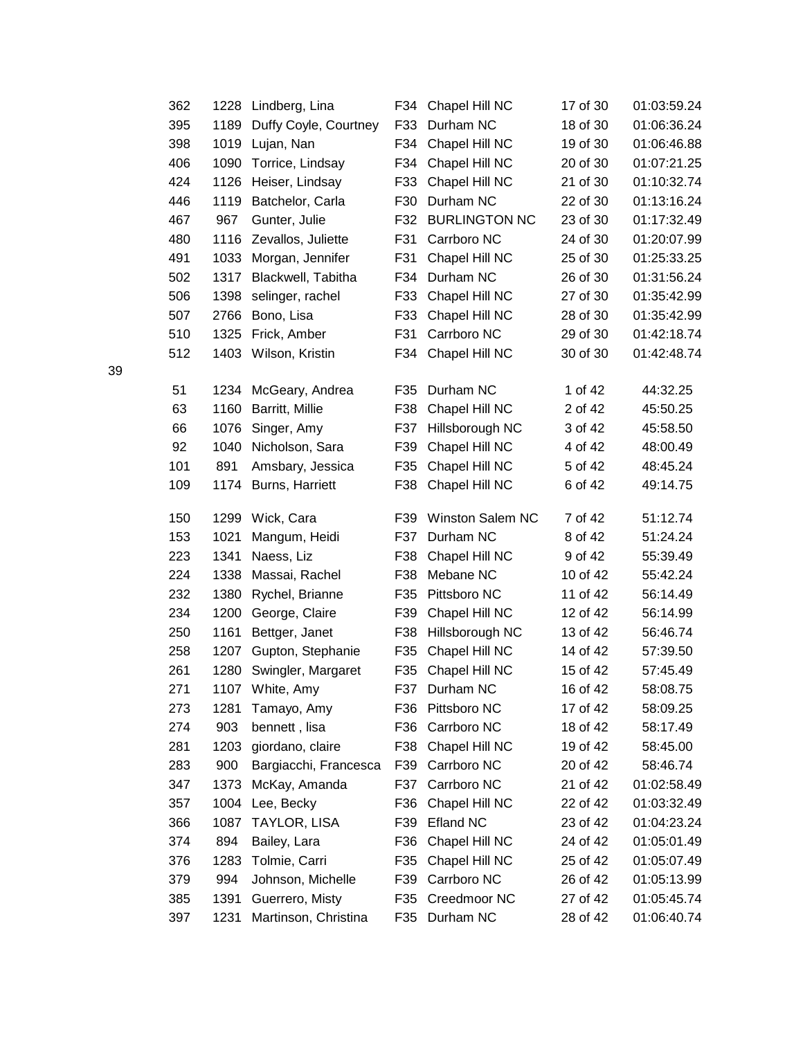|    | 362 | 1228 | Lindberg, Lina          |     | F34 Chapel Hill NC | 17 of 30 | 01:03:59.24 |
|----|-----|------|-------------------------|-----|--------------------|----------|-------------|
|    | 395 | 1189 | Duffy Coyle, Courtney   | F33 | Durham NC          | 18 of 30 | 01:06:36.24 |
|    | 398 | 1019 | Lujan, Nan              | F34 | Chapel Hill NC     | 19 of 30 | 01:06:46.88 |
|    | 406 | 1090 | Torrice, Lindsay        | F34 | Chapel Hill NC     | 20 of 30 | 01:07:21.25 |
|    | 424 | 1126 | Heiser, Lindsay         | F33 | Chapel Hill NC     | 21 of 30 | 01:10:32.74 |
|    | 446 | 1119 | Batchelor, Carla        | F30 | Durham NC          | 22 of 30 | 01:13:16.24 |
|    | 467 | 967  | Gunter, Julie           |     | F32 BURLINGTON NC  | 23 of 30 | 01:17:32.49 |
|    | 480 | 1116 | Zevallos, Juliette      | F31 | Carrboro NC        | 24 of 30 | 01:20:07.99 |
|    | 491 | 1033 | Morgan, Jennifer        | F31 | Chapel Hill NC     | 25 of 30 | 01:25:33.25 |
|    | 502 | 1317 | Blackwell, Tabitha      | F34 | Durham NC          | 26 of 30 | 01:31:56.24 |
|    | 506 | 1398 | selinger, rachel        | F33 | Chapel Hill NC     | 27 of 30 | 01:35:42.99 |
|    | 507 | 2766 | Bono, Lisa              | F33 | Chapel Hill NC     | 28 of 30 | 01:35:42.99 |
|    | 510 | 1325 | Frick, Amber            | F31 | Carrboro NC        | 29 of 30 | 01:42:18.74 |
|    | 512 |      | 1403 Wilson, Kristin    | F34 | Chapel Hill NC     | 30 of 30 | 01:42:48.74 |
| 39 |     |      |                         |     |                    |          |             |
|    | 51  | 1234 | McGeary, Andrea         | F35 | Durham NC          | 1 of 42  | 44:32.25    |
|    | 63  | 1160 | Barritt, Millie         | F38 | Chapel Hill NC     | 2 of 42  | 45:50.25    |
|    | 66  | 1076 | Singer, Amy             | F37 | Hillsborough NC    | 3 of 42  | 45:58.50    |
|    | 92  | 1040 | Nicholson, Sara         | F39 | Chapel Hill NC     | 4 of 42  | 48:00.49    |
|    | 101 | 891  | Amsbary, Jessica        | F35 | Chapel Hill NC     | 5 of 42  | 48:45.24    |
|    | 109 | 1174 | Burns, Harriett         | F38 | Chapel Hill NC     | 6 of 42  | 49:14.75    |
|    |     |      |                         |     |                    |          |             |
|    | 150 | 1299 | Wick, Cara              | F39 | Winston Salem NC   | 7 of 42  | 51:12.74    |
|    | 153 | 1021 | Mangum, Heidi           | F37 | Durham NC          | 8 of 42  | 51:24.24    |
|    | 223 | 1341 | Naess, Liz              | F38 | Chapel Hill NC     | 9 of 42  | 55:39.49    |
|    | 224 | 1338 | Massai, Rachel          | F38 | Mebane NC          | 10 of 42 | 55:42.24    |
|    | 232 | 1380 | Rychel, Brianne         | F35 | Pittsboro NC       | 11 of 42 | 56:14.49    |
|    | 234 | 1200 | George, Claire          | F39 | Chapel Hill NC     | 12 of 42 | 56:14.99    |
|    | 250 | 1161 | Bettger, Janet          | F38 | Hillsborough NC    | 13 of 42 | 56:46.74    |
|    | 258 | 1207 | Gupton, Stephanie       | F35 | Chapel Hill NC     | 14 of 42 | 57:39.50    |
|    | 261 |      | 1280 Swingler, Margaret |     | F35 Chapel Hill NC | 15 of 42 | 57:45.49    |
|    | 271 |      | 1107 White, Amy         |     | F37 Durham NC      | 16 of 42 | 58:08.75    |
|    | 273 | 1281 | Tamayo, Amy             | F36 | Pittsboro NC       | 17 of 42 | 58:09.25    |
|    | 274 | 903  | bennett, lisa           | F36 | Carrboro NC        | 18 of 42 | 58:17.49    |
|    | 281 | 1203 | giordano, claire        | F38 | Chapel Hill NC     | 19 of 42 | 58:45.00    |
|    | 283 | 900  | Bargiacchi, Francesca   | F39 | Carrboro NC        | 20 of 42 | 58:46.74    |
|    | 347 | 1373 | McKay, Amanda           | F37 | Carrboro NC        | 21 of 42 | 01:02:58.49 |
|    | 357 | 1004 | Lee, Becky              | F36 | Chapel Hill NC     | 22 of 42 | 01:03:32.49 |
|    | 366 | 1087 | <b>TAYLOR, LISA</b>     | F39 | <b>Efland NC</b>   | 23 of 42 | 01:04:23.24 |
|    | 374 | 894  | Bailey, Lara            | F36 | Chapel Hill NC     | 24 of 42 | 01:05:01.49 |
|    | 376 | 1283 | Tolmie, Carri           | F35 | Chapel Hill NC     | 25 of 42 | 01:05:07.49 |
|    | 379 | 994  | Johnson, Michelle       | F39 | Carrboro NC        | 26 of 42 | 01:05:13.99 |
|    | 385 | 1391 | Guerrero, Misty         | F35 | Creedmoor NC       | 27 of 42 | 01:05:45.74 |
|    | 397 | 1231 | Martinson, Christina    | F35 | Durham NC          | 28 of 42 | 01:06:40.74 |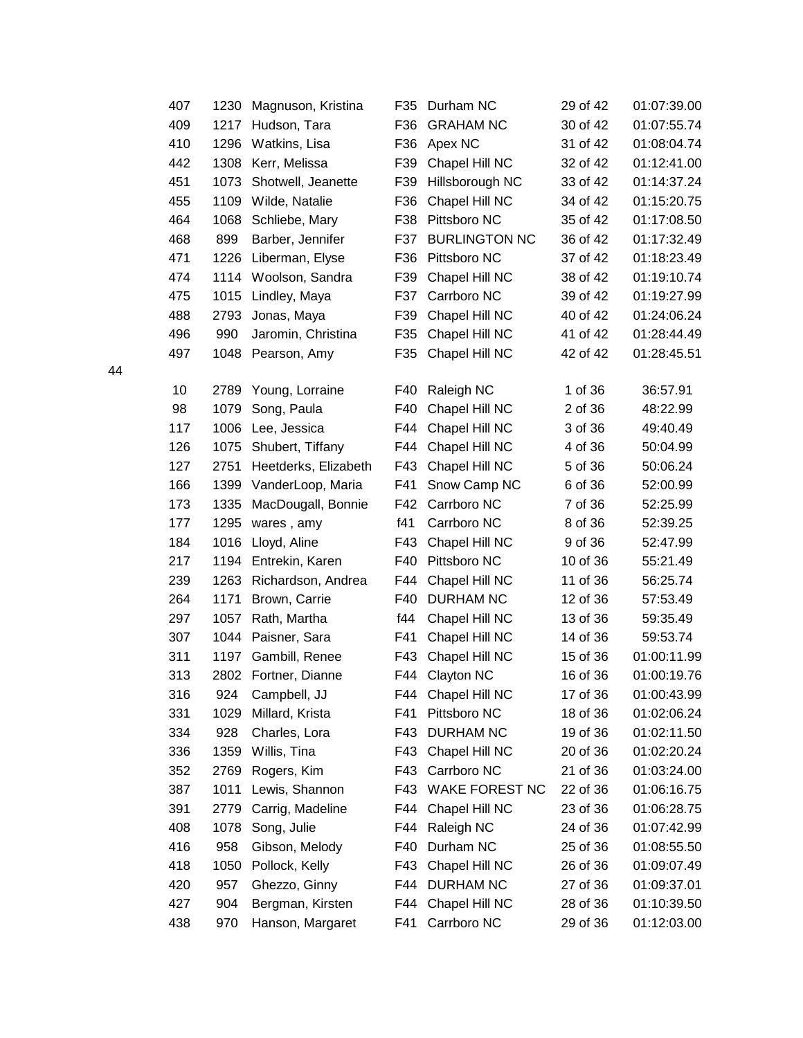|    | 407 | 1230 | Magnuson, Kristina   | F35 | Durham NC             | 29 of 42 | 01:07:39.00 |
|----|-----|------|----------------------|-----|-----------------------|----------|-------------|
|    | 409 | 1217 | Hudson, Tara         | F36 | <b>GRAHAM NC</b>      | 30 of 42 | 01:07:55.74 |
|    | 410 | 1296 | Watkins, Lisa        | F36 | Apex NC               | 31 of 42 | 01:08:04.74 |
|    | 442 | 1308 | Kerr, Melissa        | F39 | Chapel Hill NC        | 32 of 42 | 01:12:41.00 |
|    | 451 | 1073 | Shotwell, Jeanette   | F39 | Hillsborough NC       | 33 of 42 | 01:14:37.24 |
|    | 455 | 1109 | Wilde, Natalie       | F36 | Chapel Hill NC        | 34 of 42 | 01:15:20.75 |
|    | 464 | 1068 | Schliebe, Mary       | F38 | Pittsboro NC          | 35 of 42 | 01:17:08.50 |
|    | 468 | 899  | Barber, Jennifer     | F37 | <b>BURLINGTON NC</b>  | 36 of 42 | 01:17:32.49 |
|    | 471 | 1226 | Liberman, Elyse      | F36 | Pittsboro NC          | 37 of 42 | 01:18:23.49 |
|    | 474 |      | 1114 Woolson, Sandra | F39 | Chapel Hill NC        | 38 of 42 | 01:19:10.74 |
|    | 475 | 1015 | Lindley, Maya        | F37 | Carrboro NC           | 39 of 42 | 01:19:27.99 |
|    | 488 | 2793 | Jonas, Maya          | F39 | Chapel Hill NC        | 40 of 42 | 01:24:06.24 |
|    | 496 | 990  | Jaromin, Christina   | F35 | Chapel Hill NC        | 41 of 42 | 01:28:44.49 |
|    | 497 | 1048 | Pearson, Amy         | F35 | Chapel Hill NC        | 42 of 42 | 01:28:45.51 |
| 44 |     |      |                      |     |                       |          |             |
|    | 10  | 2789 | Young, Lorraine      | F40 | Raleigh NC            | 1 of 36  | 36:57.91    |
|    | 98  | 1079 | Song, Paula          | F40 | Chapel Hill NC        | 2 of 36  | 48:22.99    |
|    | 117 | 1006 | Lee, Jessica         | F44 | Chapel Hill NC        | 3 of 36  | 49:40.49    |
|    | 126 | 1075 | Shubert, Tiffany     | F44 | Chapel Hill NC        | 4 of 36  | 50:04.99    |
|    | 127 | 2751 | Heetderks, Elizabeth | F43 | Chapel Hill NC        | 5 of 36  | 50:06.24    |
|    | 166 | 1399 | VanderLoop, Maria    | F41 | Snow Camp NC          | 6 of 36  | 52:00.99    |
|    | 173 | 1335 | MacDougall, Bonnie   | F42 | Carrboro NC           | 7 of 36  | 52:25.99    |
|    | 177 | 1295 | wares, amy           | f41 | Carrboro NC           | 8 of 36  | 52:39.25    |
|    | 184 | 1016 | Lloyd, Aline         | F43 | Chapel Hill NC        | 9 of 36  | 52:47.99    |
|    | 217 | 1194 | Entrekin, Karen      | F40 | Pittsboro NC          | 10 of 36 | 55:21.49    |
|    | 239 | 1263 | Richardson, Andrea   | F44 | Chapel Hill NC        | 11 of 36 | 56:25.74    |
|    | 264 | 1171 | Brown, Carrie        | F40 | <b>DURHAM NC</b>      | 12 of 36 | 57:53.49    |
|    | 297 | 1057 | Rath, Martha         | f44 | Chapel Hill NC        | 13 of 36 | 59:35.49    |
|    | 307 | 1044 | Paisner, Sara        | F41 | Chapel Hill NC        | 14 of 36 | 59:53.74    |
|    | 311 | 1197 | Gambill, Renee       | F43 | Chapel Hill NC        | 15 of 36 | 01:00:11.99 |
|    | 313 |      | 2802 Fortner, Dianne | F44 | Clayton NC            | 16 of 36 | 01:00:19.76 |
|    | 316 | 924  | Campbell, JJ         |     | F44 Chapel Hill NC    | 17 of 36 | 01:00:43.99 |
|    | 331 | 1029 | Millard, Krista      | F41 | Pittsboro NC          | 18 of 36 | 01:02:06.24 |
|    | 334 | 928  | Charles, Lora        | F43 | <b>DURHAM NC</b>      | 19 of 36 | 01:02:11.50 |
|    | 336 | 1359 | Willis, Tina         | F43 | Chapel Hill NC        | 20 of 36 | 01:02:20.24 |
|    | 352 | 2769 | Rogers, Kim          | F43 | Carrboro NC           | 21 of 36 | 01:03:24.00 |
|    | 387 | 1011 | Lewis, Shannon       | F43 | <b>WAKE FOREST NC</b> | 22 of 36 | 01:06:16.75 |
|    | 391 | 2779 | Carrig, Madeline     | F44 | Chapel Hill NC        | 23 of 36 | 01:06:28.75 |
|    | 408 | 1078 | Song, Julie          | F44 | Raleigh NC            | 24 of 36 | 01:07:42.99 |
|    | 416 | 958  | Gibson, Melody       | F40 | Durham NC             | 25 of 36 | 01:08:55.50 |
|    | 418 | 1050 | Pollock, Kelly       | F43 | Chapel Hill NC        | 26 of 36 | 01:09:07.49 |
|    | 420 | 957  | Ghezzo, Ginny        | F44 | <b>DURHAM NC</b>      | 27 of 36 | 01:09:37.01 |
|    | 427 | 904  | Bergman, Kirsten     | F44 | Chapel Hill NC        | 28 of 36 | 01:10:39.50 |
|    | 438 | 970  | Hanson, Margaret     | F41 | Carrboro NC           | 29 of 36 | 01:12:03.00 |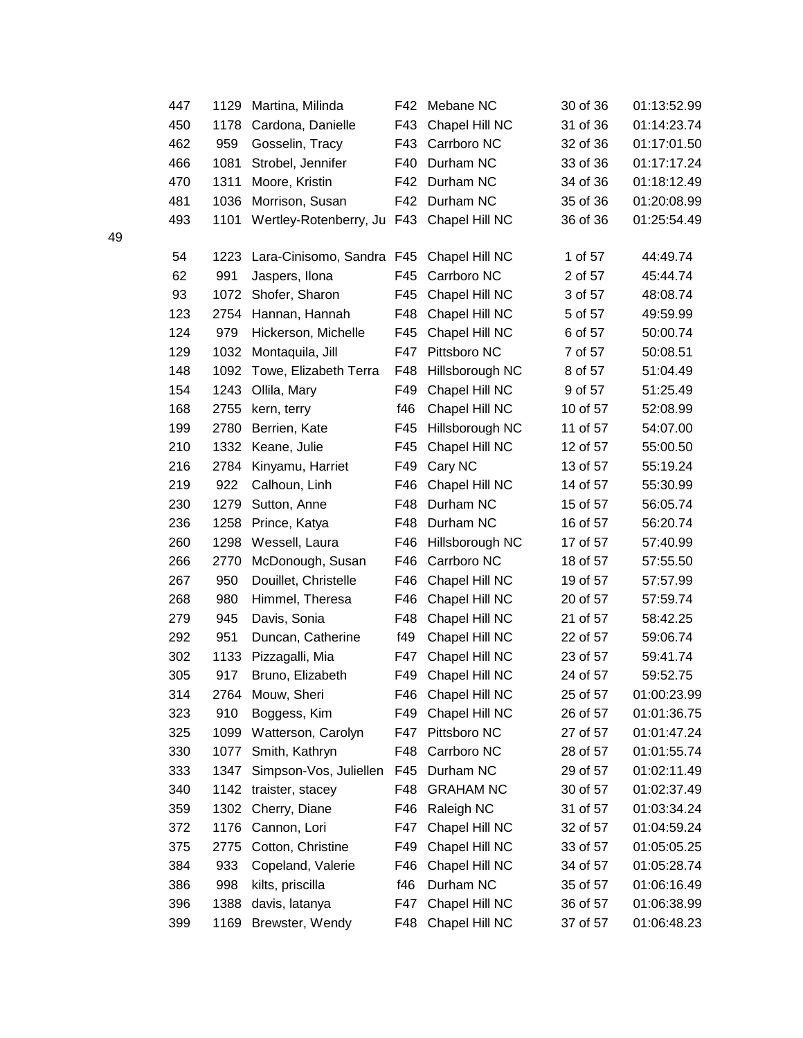|    | 447 | 1129 | Martina, Milinda                          | F42 | Mebane NC        | 30 of 36 | 01:13:52.99 |
|----|-----|------|-------------------------------------------|-----|------------------|----------|-------------|
|    | 450 | 1178 | Cardona, Danielle                         | F43 | Chapel Hill NC   | 31 of 36 | 01:14:23.74 |
|    | 462 | 959  | Gosselin, Tracy                           | F43 | Carrboro NC      | 32 of 36 | 01:17:01.50 |
|    | 466 | 1081 | Strobel, Jennifer                         | F40 | Durham NC        | 33 of 36 | 01:17:17.24 |
|    | 470 | 1311 | Moore, Kristin                            |     | F42 Durham NC    | 34 of 36 | 01:18:12.49 |
|    | 481 | 1036 | Morrison, Susan                           |     | F42 Durham NC    | 35 of 36 | 01:20:08.99 |
|    | 493 | 1101 | Wertley-Rotenberry, Ju F43 Chapel Hill NC |     |                  | 36 of 36 | 01:25:54.49 |
| 49 |     |      |                                           |     |                  |          |             |
|    | 54  | 1223 | Lara-Cinisomo, Sandra F45                 |     | Chapel Hill NC   | 1 of 57  | 44:49.74    |
|    | 62  | 991  | Jaspers, Ilona                            | F45 | Carrboro NC      | 2 of 57  | 45:44.74    |
|    | 93  | 1072 | Shofer, Sharon                            | F45 | Chapel Hill NC   | 3 of 57  | 48:08.74    |
|    | 123 | 2754 | Hannan, Hannah                            | F48 | Chapel Hill NC   | 5 of 57  | 49:59.99    |
|    | 124 | 979  | Hickerson, Michelle                       | F45 | Chapel Hill NC   | 6 of 57  | 50:00.74    |
|    | 129 | 1032 | Montaquila, Jill                          | F47 | Pittsboro NC     | 7 of 57  | 50:08.51    |
|    | 148 | 1092 | Towe, Elizabeth Terra                     | F48 | Hillsborough NC  | 8 of 57  | 51:04.49    |
|    | 154 | 1243 | Ollila, Mary                              | F49 | Chapel Hill NC   | 9 of 57  | 51:25.49    |
|    | 168 | 2755 | kern, terry                               | f46 | Chapel Hill NC   | 10 of 57 | 52:08.99    |
|    | 199 | 2780 | Berrien, Kate                             | F45 | Hillsborough NC  | 11 of 57 | 54:07.00    |
|    | 210 | 1332 | Keane, Julie                              | F45 | Chapel Hill NC   | 12 of 57 | 55:00.50    |
|    | 216 | 2784 | Kinyamu, Harriet                          | F49 | Cary NC          | 13 of 57 | 55:19.24    |
|    | 219 | 922  | Calhoun, Linh                             | F46 | Chapel Hill NC   | 14 of 57 | 55:30.99    |
|    | 230 | 1279 | Sutton, Anne                              | F48 | Durham NC        | 15 of 57 | 56:05.74    |
|    | 236 | 1258 | Prince, Katya                             | F48 | Durham NC        | 16 of 57 | 56:20.74    |
|    | 260 | 1298 | Wessell, Laura                            | F46 | Hillsborough NC  | 17 of 57 | 57:40.99    |
|    | 266 | 2770 | McDonough, Susan                          | F46 | Carrboro NC      | 18 of 57 | 57:55.50    |
|    | 267 | 950  | Douillet, Christelle                      | F46 | Chapel Hill NC   | 19 of 57 | 57:57.99    |
|    | 268 | 980  | Himmel, Theresa                           | F46 | Chapel Hill NC   | 20 of 57 | 57:59.74    |
|    | 279 | 945  | Davis, Sonia                              | F48 | Chapel Hill NC   | 21 of 57 | 58:42.25    |
|    | 292 | 951  | Duncan, Catherine                         | f49 | Chapel Hill NC   | 22 of 57 | 59:06.74    |
|    | 302 | 1133 | Pizzagalli, Mia                           | F47 | Chapel Hill NC   | 23 of 57 | 59:41.74    |
|    | 305 | 917  | Bruno, Elizabeth                          | F49 | Chapel Hill NC   | 24 of 57 | 59:52.75    |
|    | 314 | 2764 | Mouw, Sheri                               | F46 | Chapel Hill NC   | 25 of 57 | 01:00:23.99 |
|    | 323 | 910  | Boggess, Kim                              | F49 | Chapel Hill NC   | 26 of 57 | 01:01:36.75 |
|    | 325 | 1099 | Watterson, Carolyn                        | F47 | Pittsboro NC     | 27 of 57 | 01:01:47.24 |
|    | 330 | 1077 | Smith, Kathryn                            | F48 | Carrboro NC      | 28 of 57 | 01:01:55.74 |
|    | 333 | 1347 | Simpson-Vos, Juliellen                    | F45 | Durham NC        | 29 of 57 | 01:02:11.49 |
|    | 340 | 1142 | traister, stacey                          | F48 | <b>GRAHAM NC</b> | 30 of 57 | 01:02:37.49 |
|    | 359 | 1302 | Cherry, Diane                             | F46 | Raleigh NC       | 31 of 57 | 01:03:34.24 |
|    | 372 | 1176 | Cannon, Lori                              | F47 | Chapel Hill NC   | 32 of 57 | 01:04:59.24 |
|    | 375 | 2775 | Cotton, Christine                         | F49 | Chapel Hill NC   | 33 of 57 | 01:05:05.25 |
|    | 384 | 933  | Copeland, Valerie                         | F46 | Chapel Hill NC   | 34 of 57 | 01:05:28.74 |
|    | 386 | 998  | kilts, priscilla                          | f46 | Durham NC        | 35 of 57 | 01:06:16.49 |
|    | 396 | 1388 | davis, latanya                            | F47 | Chapel Hill NC   | 36 of 57 | 01:06:38.99 |
|    | 399 | 1169 | Brewster, Wendy                           | F48 | Chapel Hill NC   | 37 of 57 | 01:06:48.23 |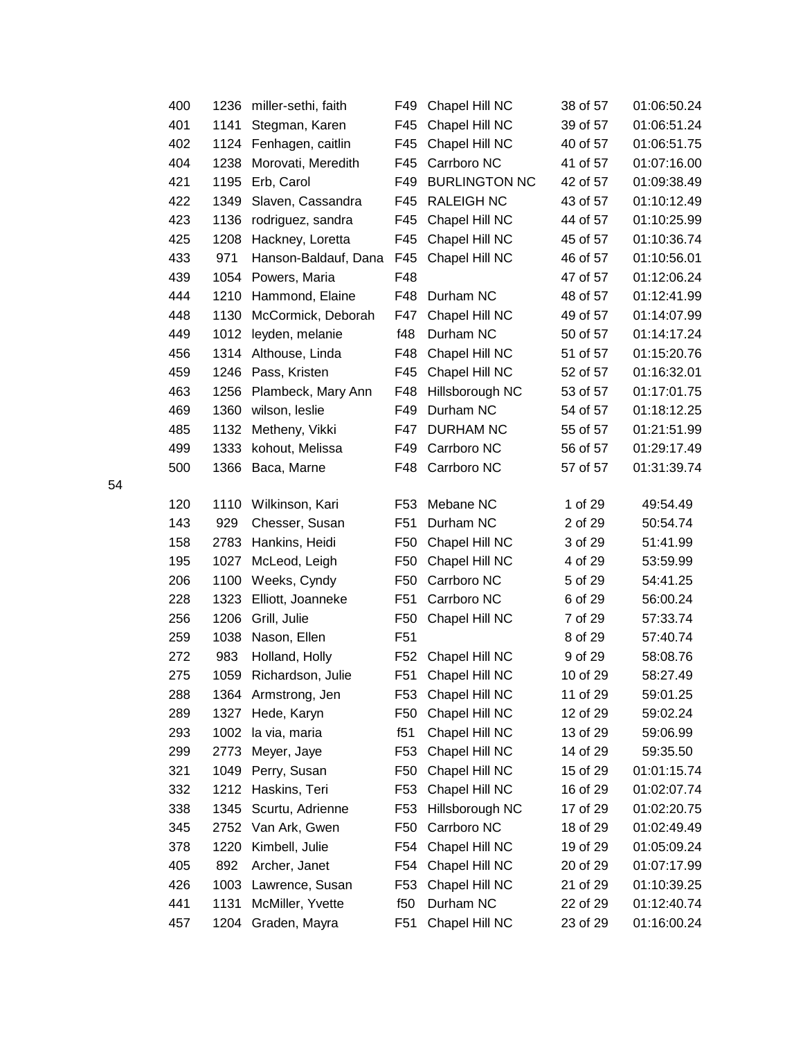|    | 400 | 1236 | miller-sethi, faith  | F49             | Chapel Hill NC       | 38 of 57 | 01:06:50.24 |
|----|-----|------|----------------------|-----------------|----------------------|----------|-------------|
|    | 401 | 1141 | Stegman, Karen       | F45             | Chapel Hill NC       | 39 of 57 | 01:06:51.24 |
|    | 402 | 1124 | Fenhagen, caitlin    | F45             | Chapel Hill NC       | 40 of 57 | 01:06:51.75 |
|    | 404 | 1238 | Morovati, Meredith   | F45             | Carrboro NC          | 41 of 57 | 01:07:16.00 |
|    | 421 | 1195 | Erb, Carol           | F49             | <b>BURLINGTON NC</b> | 42 of 57 | 01:09:38.49 |
|    | 422 | 1349 | Slaven, Cassandra    | F45             | <b>RALEIGH NC</b>    | 43 of 57 | 01:10:12.49 |
|    | 423 | 1136 | rodriguez, sandra    | F45             | Chapel Hill NC       | 44 of 57 | 01:10:25.99 |
|    | 425 | 1208 | Hackney, Loretta     | F45             | Chapel Hill NC       | 45 of 57 | 01:10:36.74 |
|    | 433 | 971  | Hanson-Baldauf, Dana | F45             | Chapel Hill NC       | 46 of 57 | 01:10:56.01 |
|    | 439 | 1054 | Powers, Maria        | F48             |                      | 47 of 57 | 01:12:06.24 |
|    | 444 | 1210 | Hammond, Elaine      | F48             | Durham NC            | 48 of 57 | 01:12:41.99 |
|    | 448 | 1130 | McCormick, Deborah   | F47             | Chapel Hill NC       | 49 of 57 | 01:14:07.99 |
|    | 449 | 1012 | leyden, melanie      | f48             | Durham NC            | 50 of 57 | 01:14:17.24 |
|    | 456 | 1314 | Althouse, Linda      | F48             | Chapel Hill NC       | 51 of 57 | 01:15:20.76 |
|    | 459 | 1246 | Pass, Kristen        | F45             | Chapel Hill NC       | 52 of 57 | 01:16:32.01 |
|    | 463 | 1256 | Plambeck, Mary Ann   | F48             | Hillsborough NC      | 53 of 57 | 01:17:01.75 |
|    | 469 | 1360 | wilson, leslie       | F49             | Durham NC            | 54 of 57 | 01:18:12.25 |
|    | 485 | 1132 | Metheny, Vikki       | F47             | <b>DURHAM NC</b>     | 55 of 57 | 01:21:51.99 |
|    | 499 | 1333 | kohout, Melissa      | F49             | Carrboro NC          | 56 of 57 | 01:29:17.49 |
|    | 500 | 1366 | Baca, Marne          |                 | F48 Carrboro NC      | 57 of 57 | 01:31:39.74 |
| 54 |     |      |                      |                 |                      |          |             |
|    | 120 | 1110 | Wilkinson, Kari      | F <sub>53</sub> | Mebane NC            | 1 of 29  | 49:54.49    |
|    | 143 | 929  | Chesser, Susan       | F <sub>51</sub> | Durham NC            | 2 of 29  | 50:54.74    |
|    | 158 | 2783 | Hankins, Heidi       | F <sub>50</sub> | Chapel Hill NC       | 3 of 29  | 51:41.99    |
|    | 195 | 1027 | McLeod, Leigh        | F <sub>50</sub> | Chapel Hill NC       | 4 of 29  | 53:59.99    |
|    | 206 | 1100 | Weeks, Cyndy         | F <sub>50</sub> | Carrboro NC          | 5 of 29  | 54:41.25    |
|    | 228 | 1323 | Elliott, Joanneke    | F51             | Carrboro NC          | 6 of 29  | 56:00.24    |
|    | 256 | 1206 | Grill, Julie         | F <sub>50</sub> | Chapel Hill NC       | 7 of 29  | 57:33.74    |
|    | 259 | 1038 | Nason, Ellen         | F <sub>51</sub> |                      | 8 of 29  | 57:40.74    |
|    | 272 | 983  | Holland, Holly       | F <sub>52</sub> | Chapel Hill NC       | 9 of 29  | 58:08.76    |
|    | 275 | 1059 | Richardson, Julie    | F <sub>51</sub> | Chapel Hill NC       | 10 of 29 | 58:27.49    |
|    | 288 |      | 1364 Armstrong, Jen  | F53             | Chapel Hill NC       | 11 of 29 | 59:01.25    |
|    | 289 | 1327 | Hede, Karyn          | F <sub>50</sub> | Chapel Hill NC       | 12 of 29 | 59:02.24    |
|    | 293 | 1002 | la via, maria        | f51             | Chapel Hill NC       | 13 of 29 | 59:06.99    |
|    | 299 | 2773 | Meyer, Jaye          | F <sub>53</sub> | Chapel Hill NC       | 14 of 29 | 59:35.50    |
|    | 321 | 1049 | Perry, Susan         | F <sub>50</sub> | Chapel Hill NC       | 15 of 29 | 01:01:15.74 |
|    | 332 | 1212 | Haskins, Teri        | F <sub>53</sub> | Chapel Hill NC       | 16 of 29 | 01:02:07.74 |
|    | 338 | 1345 | Scurtu, Adrienne     | F <sub>53</sub> | Hillsborough NC      | 17 of 29 | 01:02:20.75 |
|    | 345 | 2752 | Van Ark, Gwen        | F <sub>50</sub> | Carrboro NC          | 18 of 29 | 01:02:49.49 |
|    | 378 | 1220 | Kimbell, Julie       | F54             | Chapel Hill NC       | 19 of 29 | 01:05:09.24 |
|    | 405 | 892  | Archer, Janet        | F54             | Chapel Hill NC       | 20 of 29 | 01:07:17.99 |
|    | 426 | 1003 | Lawrence, Susan      | F <sub>53</sub> | Chapel Hill NC       | 21 of 29 | 01:10:39.25 |
|    | 441 | 1131 | McMiller, Yvette     | f50             | Durham NC            | 22 of 29 | 01:12:40.74 |
|    | 457 | 1204 | Graden, Mayra        | F51             | Chapel Hill NC       | 23 of 29 | 01:16:00.24 |
|    |     |      |                      |                 |                      |          |             |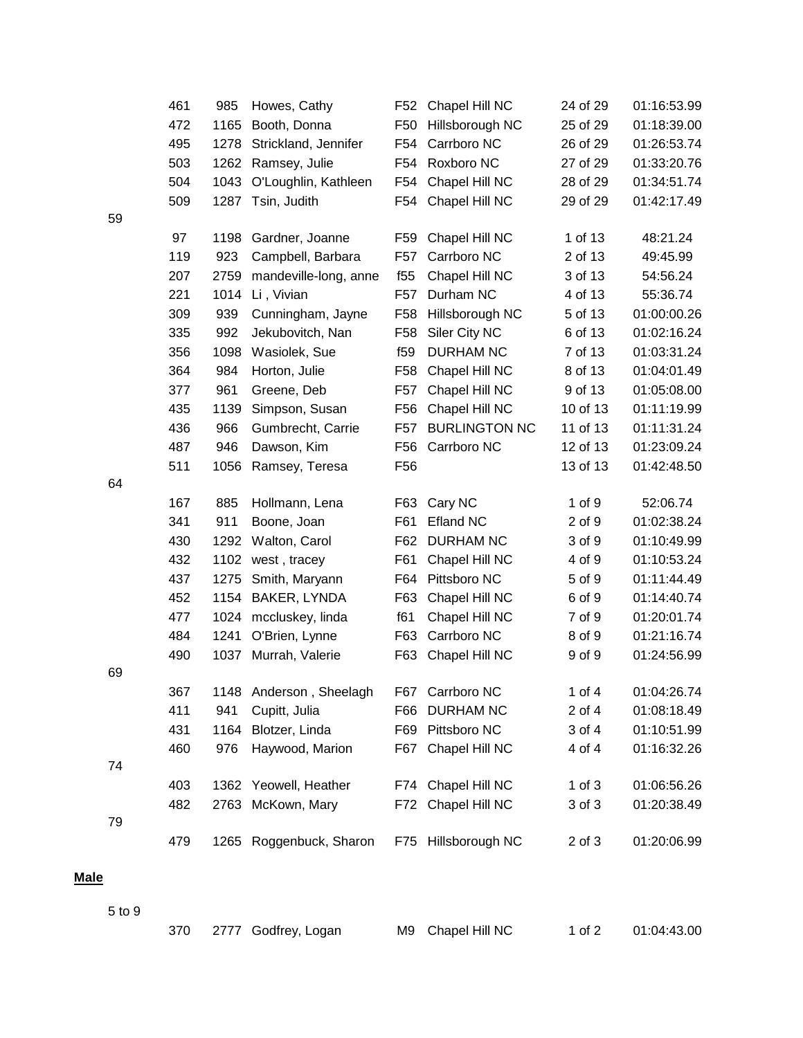|    | 461 | 985  | Howes, Cathy            | F52             | Chapel Hill NC       | 24 of 29   | 01:16:53.99 |
|----|-----|------|-------------------------|-----------------|----------------------|------------|-------------|
|    | 472 | 1165 | Booth, Donna            | F <sub>50</sub> | Hillsborough NC      | 25 of 29   | 01:18:39.00 |
|    | 495 | 1278 | Strickland, Jennifer    | F54             | Carrboro NC          | 26 of 29   | 01:26:53.74 |
|    | 503 | 1262 | Ramsey, Julie           | F54             | Roxboro NC           | 27 of 29   | 01:33:20.76 |
|    | 504 | 1043 | O'Loughlin, Kathleen    | F <sub>54</sub> | Chapel Hill NC       | 28 of 29   | 01:34:51.74 |
|    | 509 | 1287 | Tsin, Judith            | F54             | Chapel Hill NC       | 29 of 29   | 01:42:17.49 |
| 59 |     |      |                         |                 |                      |            |             |
|    | 97  | 1198 | Gardner, Joanne         | F59             | Chapel Hill NC       | 1 of 13    | 48:21.24    |
|    | 119 | 923  | Campbell, Barbara       | F57             | Carrboro NC          | 2 of 13    | 49:45.99    |
|    | 207 | 2759 | mandeville-long, anne   | f <sub>55</sub> | Chapel Hill NC       | 3 of 13    | 54:56.24    |
|    | 221 | 1014 | Li, Vivian              | F <sub>57</sub> | Durham NC            | 4 of 13    | 55:36.74    |
|    | 309 | 939  | Cunningham, Jayne       | F <sub>58</sub> | Hillsborough NC      | 5 of 13    | 01:00:00.26 |
|    | 335 | 992  | Jekubovitch, Nan        | F <sub>58</sub> | Siler City NC        | 6 of 13    | 01:02:16.24 |
|    | 356 | 1098 | Wasiolek, Sue           | f <sub>59</sub> | <b>DURHAM NC</b>     | 7 of 13    | 01:03:31.24 |
|    | 364 | 984  | Horton, Julie           | F <sub>58</sub> | Chapel Hill NC       | 8 of 13    | 01:04:01.49 |
|    | 377 | 961  | Greene, Deb             | F <sub>57</sub> | Chapel Hill NC       | 9 of 13    | 01:05:08.00 |
|    | 435 | 1139 | Simpson, Susan          | F <sub>56</sub> | Chapel Hill NC       | 10 of 13   | 01:11:19.99 |
|    | 436 | 966  | Gumbrecht, Carrie       | F57             | <b>BURLINGTON NC</b> | 11 of 13   | 01:11:31.24 |
|    | 487 | 946  | Dawson, Kim             | F56             | Carrboro NC          | 12 of 13   | 01:23:09.24 |
|    | 511 | 1056 | Ramsey, Teresa          | F <sub>56</sub> |                      | 13 of 13   | 01:42:48.50 |
| 64 |     |      |                         |                 |                      |            |             |
|    | 167 | 885  | Hollmann, Lena          | F63             | Cary NC              | 1 of 9     | 52:06.74    |
|    | 341 | 911  | Boone, Joan             | F61             | <b>Efland NC</b>     | 2 of 9     | 01:02:38.24 |
|    | 430 | 1292 | Walton, Carol           | F62             | <b>DURHAM NC</b>     | 3 of 9     | 01:10:49.99 |
|    | 432 | 1102 | west, tracey            | F61             | Chapel Hill NC       | 4 of 9     | 01:10:53.24 |
|    | 437 | 1275 | Smith, Maryann          | F64             | Pittsboro NC         | 5 of 9     | 01:11:44.49 |
|    | 452 | 1154 | BAKER, LYNDA            | F63             | Chapel Hill NC       | 6 of 9     | 01:14:40.74 |
|    | 477 | 1024 | mccluskey, linda        | f61             | Chapel Hill NC       | 7 of 9     | 01:20:01.74 |
|    | 484 | 1241 | O'Brien, Lynne          | F63             | Carrboro NC          | 8 of 9     | 01:21:16.74 |
|    | 490 | 1037 | Murrah, Valerie         | F63             | Chapel Hill NC       | 9 of 9     | 01:24:56.99 |
| 69 |     |      |                         |                 |                      |            |             |
|    | 367 | 1148 | Anderson, Sheelagh      | F67             | Carrboro NC          | 1 of $4$   | 01:04:26.74 |
|    | 411 | 941  | Cupitt, Julia           | F66             | <b>DURHAM NC</b>     | 2 of 4     | 01:08:18.49 |
|    | 431 | 1164 | Blotzer, Linda          | F69             | Pittsboro NC         | 3 of 4     | 01:10:51.99 |
|    | 460 | 976  | Haywood, Marion         | F67             | Chapel Hill NC       | 4 of 4     | 01:16:32.26 |
| 74 |     |      |                         |                 |                      |            |             |
|    | 403 | 1362 | Yeowell, Heather        | F74             | Chapel Hill NC       | $1$ of $3$ | 01:06:56.26 |
|    | 482 | 2763 | McKown, Mary            | F72             | Chapel Hill NC       | 3 of 3     | 01:20:38.49 |
| 79 |     |      |                         |                 |                      |            |             |
|    | 479 |      | 1265 Roggenbuck, Sharon |                 | F75 Hillsborough NC  | 2 of 3     | 01:20:06.99 |
|    |     |      |                         |                 |                      |            |             |
|    |     |      |                         |                 |                      |            |             |
|    |     |      |                         |                 |                      |            |             |

**Male**

5 to 9

|  | 370 2777 Godfrey, Logan | M9 Chapel Hill NC | 1 of 2 | 01:04:43.00 |
|--|-------------------------|-------------------|--------|-------------|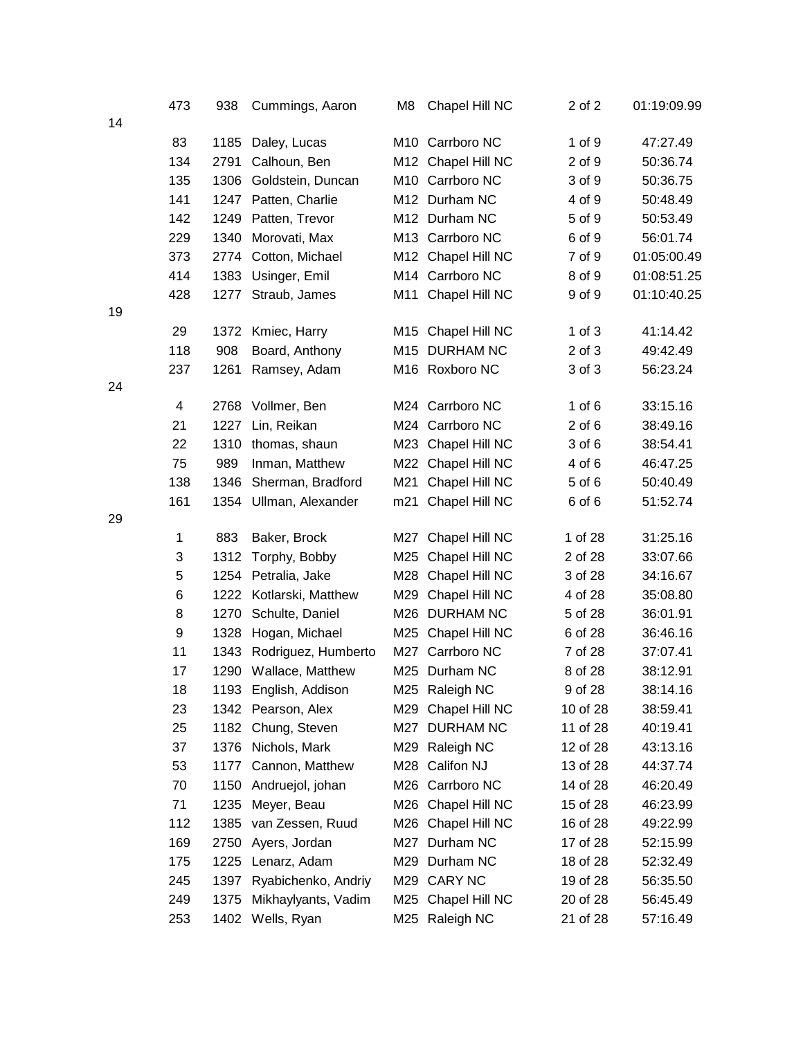|    | 473              | 938  | Cummings, Aaron       | M8  | Chapel Hill NC     | 2 of 2     | 01:19:09.99 |
|----|------------------|------|-----------------------|-----|--------------------|------------|-------------|
| 14 |                  |      |                       |     |                    |            |             |
|    | 83               | 1185 | Daley, Lucas          |     | M10 Carrboro NC    | 1 of 9     | 47:27.49    |
|    | 134              | 2791 | Calhoun, Ben          |     | M12 Chapel Hill NC | 2 of 9     | 50:36.74    |
|    | 135              | 1306 | Goldstein, Duncan     |     | M10 Carrboro NC    | 3 of 9     | 50:36.75    |
|    | 141              |      | 1247 Patten, Charlie  |     | M12 Durham NC      | 4 of 9     | 50:48.49    |
|    | 142              | 1249 | Patten, Trevor        |     | M12 Durham NC      | 5 of 9     | 50:53.49    |
|    | 229              | 1340 | Morovati, Max         |     | M13 Carrboro NC    | 6 of 9     | 56:01.74    |
|    | 373              | 2774 | Cotton, Michael       |     | M12 Chapel Hill NC | 7 of 9     | 01:05:00.49 |
|    | 414              | 1383 | Usinger, Emil         |     | M14 Carrboro NC    | 8 of 9     | 01:08:51.25 |
|    | 428              | 1277 | Straub, James         |     | M11 Chapel Hill NC | 9 of 9     | 01:10:40.25 |
| 19 |                  |      |                       |     |                    |            |             |
|    | 29               | 1372 | Kmiec, Harry          |     | M15 Chapel Hill NC | $1$ of $3$ | 41:14.42    |
|    | 118              | 908  | Board, Anthony        |     | M15 DURHAM NC      | $2$ of $3$ | 49:42.49    |
|    | 237              | 1261 | Ramsey, Adam          |     | M16 Roxboro NC     | 3 of 3     | 56:23.24    |
| 24 |                  |      |                       |     |                    |            |             |
|    | 4                | 2768 | Vollmer, Ben          |     | M24 Carrboro NC    | $1$ of $6$ | 33:15.16    |
|    | 21               | 1227 | Lin, Reikan           |     | M24 Carrboro NC    | $2$ of $6$ | 38:49.16    |
|    | 22               | 1310 | thomas, shaun         |     | M23 Chapel Hill NC | 3 of 6     | 38:54.41    |
|    | 75               | 989  | Inman, Matthew        |     | M22 Chapel Hill NC | 4 of 6     | 46:47.25    |
|    | 138              | 1346 | Sherman, Bradford     |     | M21 Chapel Hill NC | 5 of 6     | 50:40.49    |
|    | 161              | 1354 | Ullman, Alexander     |     | m21 Chapel Hill NC | 6 of 6     | 51:52.74    |
| 29 |                  |      |                       |     |                    |            |             |
|    | 1                | 883  | Baker, Brock          |     | M27 Chapel Hill NC | 1 of 28    | 31:25.16    |
|    | 3                | 1312 | Torphy, Bobby         | M25 | Chapel Hill NC     | 2 of 28    | 33:07.66    |
|    | 5                | 1254 | Petralia, Jake        |     | M28 Chapel Hill NC | 3 of 28    | 34:16.67    |
|    | 6                | 1222 | Kotlarski, Matthew    |     | M29 Chapel Hill NC | 4 of 28    | 35:08.80    |
|    | 8                | 1270 | Schulte, Daniel       |     | M26 DURHAM NC      | 5 of 28    | 36:01.91    |
|    | $\boldsymbol{9}$ | 1328 | Hogan, Michael        |     | M25 Chapel Hill NC | 6 of 28    | 36:46.16    |
|    | 11               | 1343 | Rodriguez, Humberto   |     | M27 Carrboro NC    | 7 of 28    | 37:07.41    |
|    | 17               |      | 1290 Wallace, Matthew |     | M25 Durham NC      | 8 of 28    | 38:12.91    |
|    | 18               | 1193 | English, Addison      |     | M25 Raleigh NC     | 9 of 28    | 38:14.16    |
|    | 23               | 1342 | Pearson, Alex         | M29 | Chapel Hill NC     | 10 of 28   | 38:59.41    |
|    | 25               | 1182 | Chung, Steven         | M27 | <b>DURHAM NC</b>   | 11 of 28   | 40:19.41    |
|    | 37               | 1376 | Nichols, Mark         | M29 | Raleigh NC         | 12 of 28   | 43:13.16    |
|    | 53               | 1177 | Cannon, Matthew       |     | M28 Califon NJ     | 13 of 28   | 44:37.74    |
|    | 70               | 1150 | Andruejol, johan      |     | M26 Carrboro NC    | 14 of 28   | 46:20.49    |
|    | 71               | 1235 | Meyer, Beau           | M26 | Chapel Hill NC     | 15 of 28   | 46:23.99    |
|    | 112              | 1385 | van Zessen, Ruud      | M26 | Chapel Hill NC     | 16 of 28   | 49:22.99    |
|    | 169              | 2750 | Ayers, Jordan         | M27 | Durham NC          | 17 of 28   | 52:15.99    |
|    | 175              | 1225 | Lenarz, Adam          | M29 | Durham NC          | 18 of 28   | 52:32.49    |
|    | 245              | 1397 | Ryabichenko, Andriy   |     | M29 CARY NC        | 19 of 28   | 56:35.50    |
|    | 249              | 1375 | Mikhaylyants, Vadim   |     | M25 Chapel Hill NC | 20 of 28   | 56:45.49    |
|    | 253              |      | 1402 Wells, Ryan      |     | M25 Raleigh NC     | 21 of 28   | 57:16.49    |
|    |                  |      |                       |     |                    |            |             |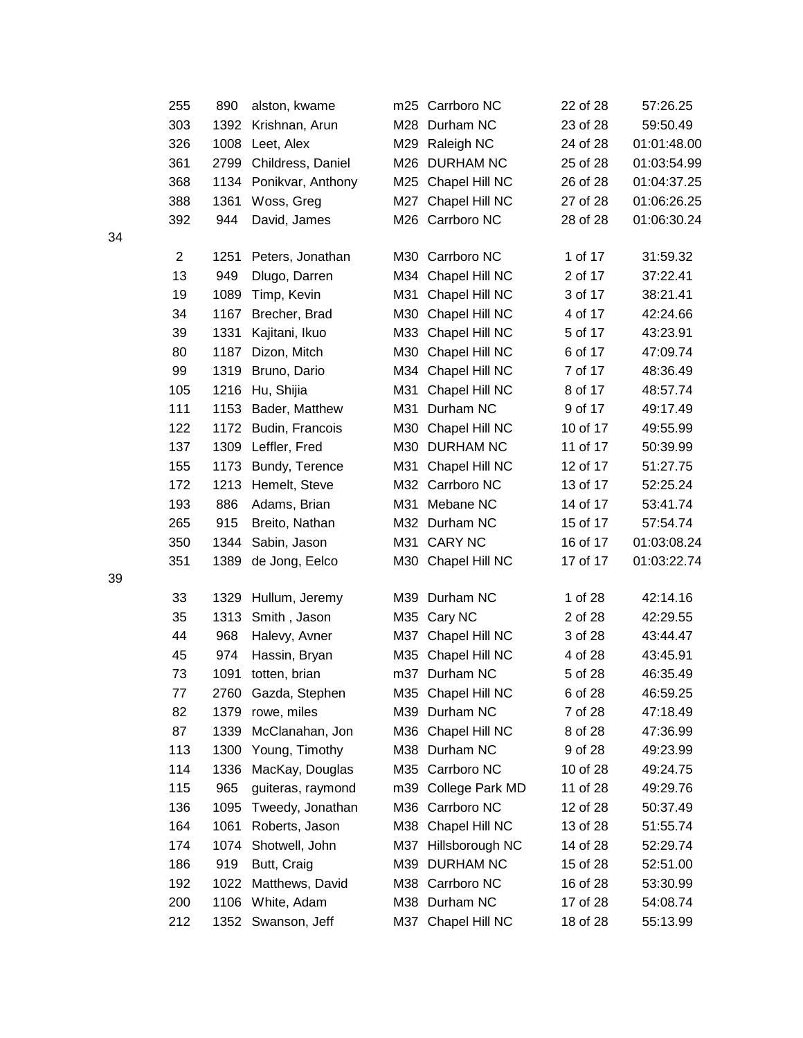|    | 255            | 890  | alston, kwame          |     | m25 Carrboro NC     | 22 of 28 | 57:26.25    |
|----|----------------|------|------------------------|-----|---------------------|----------|-------------|
|    | 303            | 1392 | Krishnan, Arun         |     | M28 Durham NC       | 23 of 28 | 59:50.49    |
|    | 326            | 1008 | Leet, Alex             |     | M29 Raleigh NC      | 24 of 28 | 01:01:48.00 |
|    | 361            | 2799 | Childress, Daniel      |     | M26 DURHAM NC       | 25 of 28 | 01:03:54.99 |
|    | 368            |      | 1134 Ponikvar, Anthony | M25 | Chapel Hill NC      | 26 of 28 | 01:04:37.25 |
|    | 388            | 1361 | Woss, Greg             | M27 | Chapel Hill NC      | 27 of 28 | 01:06:26.25 |
|    | 392            | 944  | David, James           |     | M26 Carrboro NC     | 28 of 28 | 01:06:30.24 |
| 34 |                |      |                        |     |                     |          |             |
|    | $\overline{2}$ | 1251 | Peters, Jonathan       |     | M30 Carrboro NC     | 1 of 17  | 31:59.32    |
|    | 13             | 949  | Dlugo, Darren          |     | M34 Chapel Hill NC  | 2 of 17  | 37:22.41    |
|    | 19             | 1089 | Timp, Kevin            | M31 | Chapel Hill NC      | 3 of 17  | 38:21.41    |
|    | 34             | 1167 | Brecher, Brad          | M30 | Chapel Hill NC      | 4 of 17  | 42:24.66    |
|    | 39             | 1331 | Kajitani, Ikuo         | M33 | Chapel Hill NC      | 5 of 17  | 43:23.91    |
|    | 80             | 1187 | Dizon, Mitch           | M30 | Chapel Hill NC      | 6 of 17  | 47:09.74    |
|    | 99             | 1319 | Bruno, Dario           | M34 | Chapel Hill NC      | 7 of 17  | 48:36.49    |
|    | 105            | 1216 | Hu, Shijia             | M31 | Chapel Hill NC      | 8 of 17  | 48:57.74    |
|    | 111            | 1153 | Bader, Matthew         | M31 | Durham NC           | 9 of 17  | 49:17.49    |
|    | 122            | 1172 | Budin, Francois        | M30 | Chapel Hill NC      | 10 of 17 | 49:55.99    |
|    | 137            | 1309 | Leffler, Fred          |     | M30 DURHAM NC       | 11 of 17 | 50:39.99    |
|    | 155            | 1173 | Bundy, Terence         | M31 | Chapel Hill NC      | 12 of 17 | 51:27.75    |
|    | 172            | 1213 | Hemelt, Steve          | M32 | Carrboro NC         | 13 of 17 | 52:25.24    |
|    | 193            | 886  | Adams, Brian           |     | M31 Mebane NC       | 14 of 17 | 53:41.74    |
|    | 265            | 915  | Breito, Nathan         |     | M32 Durham NC       | 15 of 17 | 57:54.74    |
|    | 350            | 1344 | Sabin, Jason           | M31 | <b>CARY NC</b>      | 16 of 17 | 01:03:08.24 |
|    | 351            | 1389 | de Jong, Eelco         |     | M30 Chapel Hill NC  | 17 of 17 | 01:03:22.74 |
| 39 |                |      |                        |     |                     |          |             |
|    | 33             | 1329 | Hullum, Jeremy         |     | M39 Durham NC       | 1 of 28  | 42:14.16    |
|    | 35             | 1313 | Smith, Jason           | M35 | Cary NC             | 2 of 28  | 42:29.55    |
|    | 44             | 968  | Halevy, Avner          | M37 | Chapel Hill NC      | 3 of 28  | 43:44.47    |
|    | 45             | 974  | Hassin, Bryan          | M35 | Chapel Hill NC      | 4 of 28  | 43:45.91    |
|    | 73             | 1091 | totten, brian          |     | m37 Durham NC       | 5 of 28  | 46:35.49    |
|    | 77             | 2760 | Gazda, Stephen         |     | M35 Chapel Hill NC  | 6 of 28  | 46:59.25    |
|    | 82             | 1379 | rowe, miles            | M39 | Durham NC           | 7 of 28  | 47:18.49    |
|    | 87             | 1339 | McClanahan, Jon        | M36 | Chapel Hill NC      | 8 of 28  | 47:36.99    |
|    | 113            | 1300 | Young, Timothy         |     | M38 Durham NC       | 9 of 28  | 49:23.99    |
|    | 114            | 1336 | MacKay, Douglas        |     | M35 Carrboro NC     | 10 of 28 | 49:24.75    |
|    | 115            | 965  | guiteras, raymond      | m39 | College Park MD     | 11 of 28 | 49:29.76    |
|    | 136            | 1095 | Tweedy, Jonathan       | M36 | Carrboro NC         | 12 of 28 | 50:37.49    |
|    | 164            | 1061 | Roberts, Jason         |     | M38 Chapel Hill NC  | 13 of 28 | 51:55.74    |
|    | 174            | 1074 | Shotwell, John         |     | M37 Hillsborough NC | 14 of 28 | 52:29.74    |
|    | 186            | 919  | Butt, Craig            | M39 | <b>DURHAM NC</b>    | 15 of 28 | 52:51.00    |
|    | 192            | 1022 | Matthews, David        | M38 | Carrboro NC         | 16 of 28 | 53:30.99    |
|    | 200            | 1106 | White, Adam            |     | M38 Durham NC       | 17 of 28 | 54:08.74    |
|    | 212            | 1352 | Swanson, Jeff          |     | M37 Chapel Hill NC  | 18 of 28 | 55:13.99    |
|    |                |      |                        |     |                     |          |             |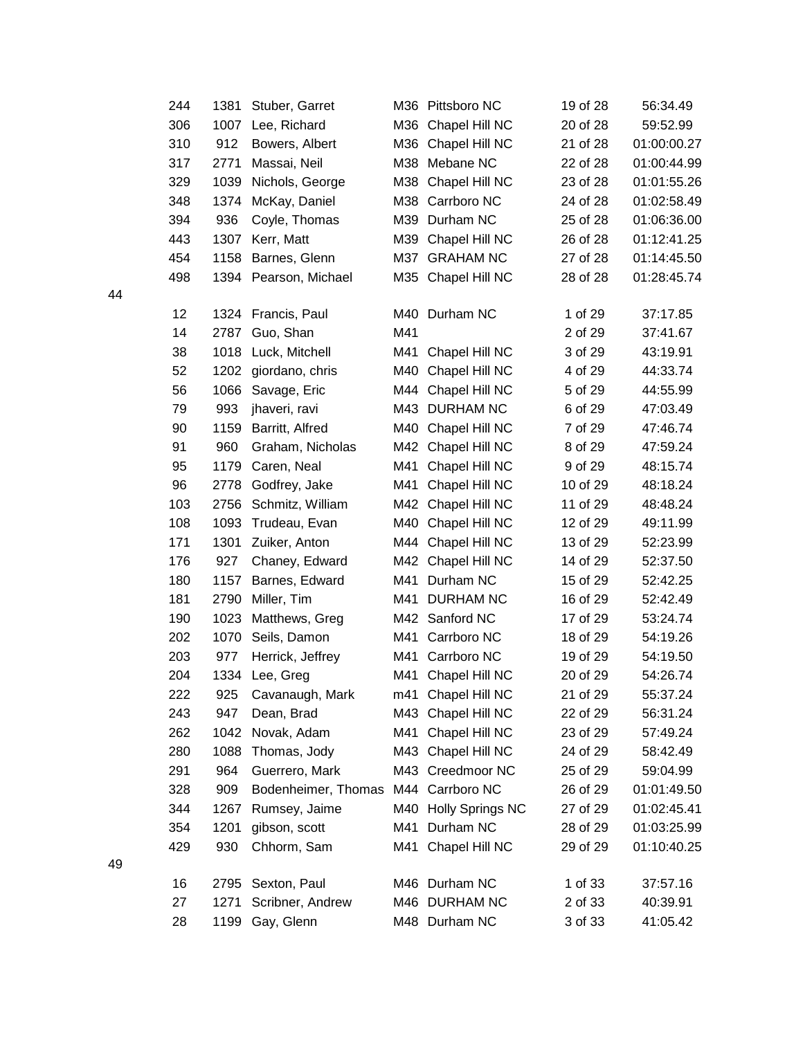|    | 244 | 1381 | Stuber, Garret        |     | M36 Pittsboro NC     | 19 of 28 | 56:34.49    |
|----|-----|------|-----------------------|-----|----------------------|----------|-------------|
|    | 306 | 1007 | Lee, Richard          |     | M36 Chapel Hill NC   | 20 of 28 | 59:52.99    |
|    | 310 | 912  | Bowers, Albert        | M36 | Chapel Hill NC       | 21 of 28 | 01:00:00.27 |
|    | 317 | 2771 | Massai, Neil          | M38 | Mebane NC            | 22 of 28 | 01:00:44.99 |
|    | 329 | 1039 | Nichols, George       | M38 | Chapel Hill NC       | 23 of 28 | 01:01:55.26 |
|    | 348 | 1374 | McKay, Daniel         | M38 | Carrboro NC          | 24 of 28 | 01:02:58.49 |
|    | 394 | 936  | Coyle, Thomas         | M39 | Durham NC            | 25 of 28 | 01:06:36.00 |
|    | 443 | 1307 | Kerr, Matt            | M39 | Chapel Hill NC       | 26 of 28 | 01:12:41.25 |
|    | 454 | 1158 | Barnes, Glenn         |     | M37 GRAHAM NC        | 27 of 28 | 01:14:45.50 |
|    | 498 |      | 1394 Pearson, Michael |     | M35 Chapel Hill NC   | 28 of 28 | 01:28:45.74 |
| 44 |     |      |                       |     |                      |          |             |
|    | 12  |      | 1324 Francis, Paul    |     | M40 Durham NC        | 1 of 29  | 37:17.85    |
|    | 14  | 2787 | Guo, Shan             | M41 |                      | 2 of 29  | 37:41.67    |
|    | 38  | 1018 | Luck, Mitchell        | M41 | Chapel Hill NC       | 3 of 29  | 43:19.91    |
|    | 52  | 1202 | giordano, chris       |     | M40 Chapel Hill NC   | 4 of 29  | 44:33.74    |
|    | 56  | 1066 | Savage, Eric          | M44 | Chapel Hill NC       | 5 of 29  | 44:55.99    |
|    | 79  | 993  | jhaveri, ravi         |     | M43 DURHAM NC        | 6 of 29  | 47:03.49    |
|    | 90  | 1159 | Barritt, Alfred       | M40 | Chapel Hill NC       | 7 of 29  | 47:46.74    |
|    | 91  | 960  | Graham, Nicholas      | M42 | Chapel Hill NC       | 8 of 29  | 47:59.24    |
|    | 95  | 1179 | Caren, Neal           | M41 | Chapel Hill NC       | 9 of 29  | 48:15.74    |
|    | 96  | 2778 | Godfrey, Jake         | M41 | Chapel Hill NC       | 10 of 29 | 48:18.24    |
|    | 103 | 2756 | Schmitz, William      |     | M42 Chapel Hill NC   | 11 of 29 | 48:48.24    |
|    | 108 | 1093 | Trudeau, Evan         | M40 | Chapel Hill NC       | 12 of 29 | 49:11.99    |
|    | 171 | 1301 | Zuiker, Anton         | M44 | Chapel Hill NC       | 13 of 29 | 52:23.99    |
|    | 176 | 927  | Chaney, Edward        |     | M42 Chapel Hill NC   | 14 of 29 | 52:37.50    |
|    | 180 | 1157 | Barnes, Edward        |     | M41 Durham NC        | 15 of 29 | 52:42.25    |
|    | 181 | 2790 | Miller, Tim           |     | M41 DURHAM NC        | 16 of 29 | 52:42.49    |
|    | 190 | 1023 | Matthews, Greg        |     | M42 Sanford NC       | 17 of 29 | 53:24.74    |
|    | 202 | 1070 | Seils, Damon          |     | M41 Carrboro NC      | 18 of 29 | 54:19.26    |
|    | 203 | 977  | Herrick, Jeffrey      | M41 | Carrboro NC          | 19 of 29 | 54:19.50    |
|    | 204 | 1334 | Lee, Greg             | M41 | Chapel Hill NC       | 20 of 29 | 54:26.74    |
|    | 222 | 925  | Cavanaugh, Mark       |     | m41 Chapel Hill NC   | 21 of 29 | 55:37.24    |
|    | 243 | 947  | Dean, Brad            | M43 | Chapel Hill NC       | 22 of 29 | 56:31.24    |
|    | 262 | 1042 | Novak, Adam           | M41 | Chapel Hill NC       | 23 of 29 | 57:49.24    |
|    | 280 | 1088 | Thomas, Jody          |     | M43 Chapel Hill NC   | 24 of 29 | 58:42.49    |
|    | 291 | 964  | Guerrero, Mark        | M43 | Creedmoor NC         | 25 of 29 | 59:04.99    |
|    | 328 | 909  | Bodenheimer, Thomas   |     | M44 Carrboro NC      | 26 of 29 | 01:01:49.50 |
|    | 344 | 1267 | Rumsey, Jaime         |     | M40 Holly Springs NC | 27 of 29 | 01:02:45.41 |
|    | 354 | 1201 | gibson, scott         | M41 | Durham NC            | 28 of 29 | 01:03:25.99 |
|    | 429 | 930  | Chhorm, Sam           | M41 | Chapel Hill NC       | 29 of 29 | 01:10:40.25 |
| 49 |     |      |                       |     |                      |          |             |
|    | 16  | 2795 | Sexton, Paul          |     | M46 Durham NC        | 1 of 33  | 37:57.16    |
|    | 27  | 1271 | Scribner, Andrew      |     | M46 DURHAM NC        | 2 of 33  | 40:39.91    |
|    | 28  |      | 1199 Gay, Glenn       |     | M48 Durham NC        | 3 of 33  | 41:05.42    |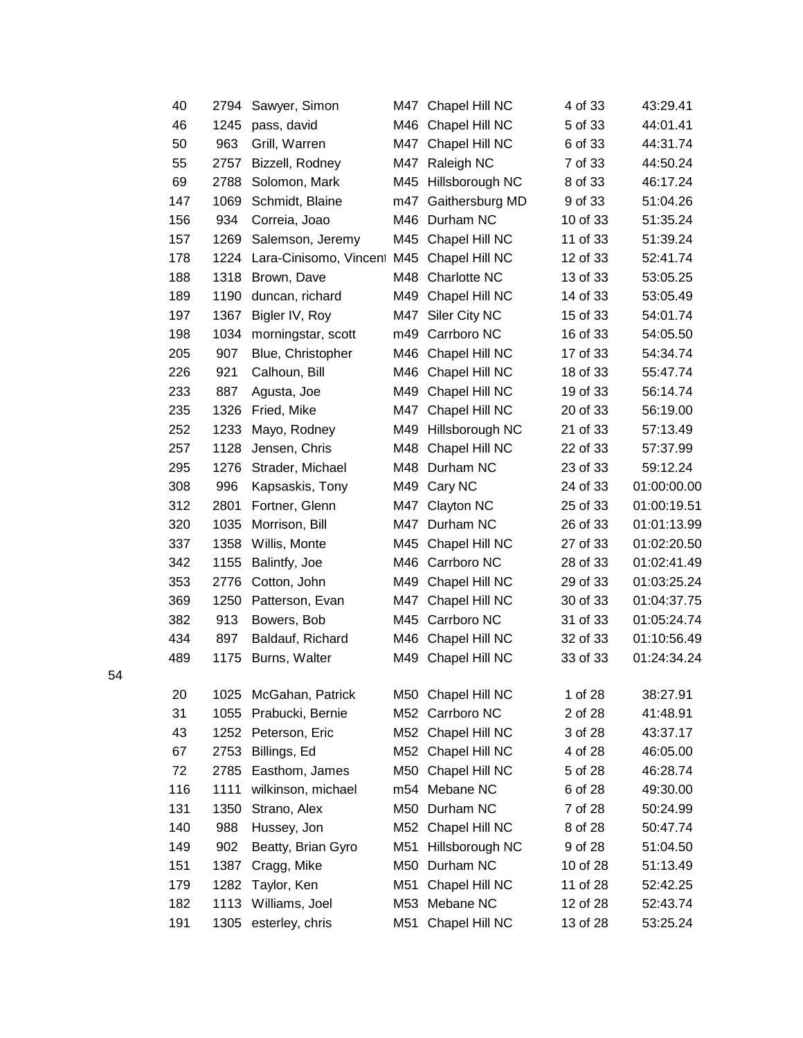|    | 40  | 2794 | Sawyer, Simon          |     | M47 Chapel Hill NC  | 4 of 33  | 43:29.41    |
|----|-----|------|------------------------|-----|---------------------|----------|-------------|
|    | 46  | 1245 | pass, david            | M46 | Chapel Hill NC      | 5 of 33  | 44:01.41    |
|    | 50  | 963  | Grill, Warren          | M47 | Chapel Hill NC      | 6 of 33  | 44:31.74    |
|    | 55  | 2757 | Bizzell, Rodney        | M47 | Raleigh NC          | 7 of 33  | 44:50.24    |
|    | 69  | 2788 | Solomon, Mark          | M45 | Hillsborough NC     | 8 of 33  | 46:17.24    |
|    | 147 | 1069 | Schmidt, Blaine        | m47 | Gaithersburg MD     | 9 of 33  | 51:04.26    |
|    | 156 | 934  | Correia, Joao          | M46 | Durham NC           | 10 of 33 | 51:35.24    |
|    | 157 | 1269 | Salemson, Jeremy       |     | M45 Chapel Hill NC  | 11 of 33 | 51:39.24    |
|    | 178 | 1224 | Lara-Cinisomo, Vincent | M45 | Chapel Hill NC      | 12 of 33 | 52:41.74    |
|    | 188 | 1318 | Brown, Dave            | M48 | Charlotte NC        | 13 of 33 | 53:05.25    |
|    | 189 | 1190 | duncan, richard        | M49 | Chapel Hill NC      | 14 of 33 | 53:05.49    |
|    | 197 | 1367 | Bigler IV, Roy         | M47 | Siler City NC       | 15 of 33 | 54:01.74    |
|    | 198 | 1034 | morningstar, scott     |     | m49 Carrboro NC     | 16 of 33 | 54:05.50    |
|    | 205 | 907  | Blue, Christopher      | M46 | Chapel Hill NC      | 17 of 33 | 54:34.74    |
|    | 226 | 921  | Calhoun, Bill          | M46 | Chapel Hill NC      | 18 of 33 | 55:47.74    |
|    | 233 | 887  | Agusta, Joe            | M49 | Chapel Hill NC      | 19 of 33 | 56:14.74    |
|    | 235 | 1326 | Fried, Mike            | M47 | Chapel Hill NC      | 20 of 33 | 56:19.00    |
|    | 252 | 1233 | Mayo, Rodney           |     | M49 Hillsborough NC | 21 of 33 | 57:13.49    |
|    | 257 | 1128 | Jensen, Chris          | M48 | Chapel Hill NC      | 22 of 33 | 57:37.99    |
|    | 295 | 1276 | Strader, Michael       |     | M48 Durham NC       | 23 of 33 | 59:12.24    |
|    | 308 | 996  | Kapsaskis, Tony        | M49 | Cary NC             | 24 of 33 | 01:00:00.00 |
|    | 312 | 2801 | Fortner, Glenn         | M47 | Clayton NC          | 25 of 33 | 01:00:19.51 |
|    | 320 | 1035 | Morrison, Bill         |     | M47 Durham NC       | 26 of 33 | 01:01:13.99 |
|    | 337 | 1358 | Willis, Monte          | M45 | Chapel Hill NC      | 27 of 33 | 01:02:20.50 |
|    | 342 | 1155 | Balintfy, Joe          | M46 | Carrboro NC         | 28 of 33 | 01:02:41.49 |
|    | 353 | 2776 | Cotton, John           | M49 | Chapel Hill NC      | 29 of 33 | 01:03:25.24 |
|    | 369 | 1250 | Patterson, Evan        | M47 | Chapel Hill NC      | 30 of 33 | 01:04:37.75 |
|    | 382 | 913  | Bowers, Bob            |     | M45 Carrboro NC     | 31 of 33 | 01:05:24.74 |
|    | 434 | 897  | Baldauf, Richard       | M46 | Chapel Hill NC      | 32 of 33 | 01:10:56.49 |
|    | 489 | 1175 | Burns, Walter          | M49 | Chapel Hill NC      | 33 of 33 | 01:24:34.24 |
| 54 |     |      |                        |     |                     |          |             |
|    | 20  | 1025 | McGahan, Patrick       |     | M50 Chapel Hill NC  | 1 of 28  | 38:27.91    |
|    | 31  | 1055 | Prabucki, Bernie       |     | M52 Carrboro NC     | 2 of 28  | 41:48.91    |
|    | 43  | 1252 | Peterson, Eric         |     | M52 Chapel Hill NC  | 3 of 28  | 43:37.17    |
|    | 67  | 2753 | Billings, Ed           |     | M52 Chapel Hill NC  | 4 of 28  | 46:05.00    |
|    | 72  | 2785 | Easthom, James         | M50 | Chapel Hill NC      | 5 of 28  | 46:28.74    |
|    | 116 | 1111 | wilkinson, michael     | m54 | Mebane NC           | 6 of 28  | 49:30.00    |
|    | 131 | 1350 | Strano, Alex           | M50 | Durham NC           | 7 of 28  | 50:24.99    |
|    | 140 | 988  | Hussey, Jon            |     | M52 Chapel Hill NC  | 8 of 28  | 50:47.74    |
|    | 149 | 902  | Beatty, Brian Gyro     | M51 | Hillsborough NC     | 9 of 28  | 51:04.50    |
|    | 151 | 1387 | Cragg, Mike            | M50 | Durham NC           | 10 of 28 | 51:13.49    |
|    | 179 | 1282 | Taylor, Ken            | M51 | Chapel Hill NC      | 11 of 28 | 52:42.25    |
|    | 182 | 1113 | Williams, Joel         | M53 | Mebane NC           | 12 of 28 | 52:43.74    |
|    | 191 |      | 1305 esterley, chris   |     | M51 Chapel Hill NC  | 13 of 28 | 53:25.24    |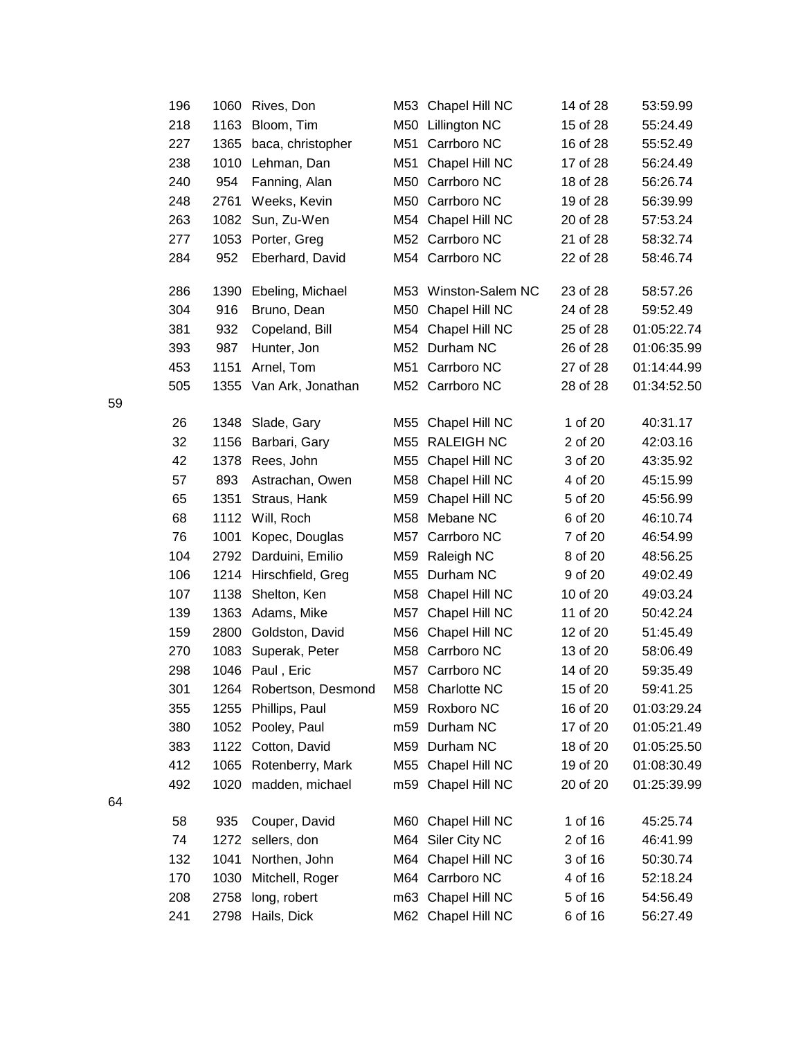|    | 196 | 1060 | Rives, Don              | M53 | Chapel Hill NC       | 14 of 28 | 53:59.99    |
|----|-----|------|-------------------------|-----|----------------------|----------|-------------|
|    | 218 | 1163 | Bloom, Tim              |     | M50 Lillington NC    | 15 of 28 | 55:24.49    |
|    | 227 | 1365 | baca, christopher       | M51 | Carrboro NC          | 16 of 28 | 55:52.49    |
|    | 238 | 1010 | Lehman, Dan             | M51 | Chapel Hill NC       | 17 of 28 | 56:24.49    |
|    | 240 | 954  | Fanning, Alan           |     | M50 Carrboro NC      | 18 of 28 | 56:26.74    |
|    | 248 | 2761 | Weeks, Kevin            |     | M50 Carrboro NC      | 19 of 28 | 56:39.99    |
|    | 263 | 1082 | Sun, Zu-Wen             |     | M54 Chapel Hill NC   | 20 of 28 | 57:53.24    |
|    | 277 | 1053 | Porter, Greg            |     | M52 Carrboro NC      | 21 of 28 | 58:32.74    |
|    | 284 | 952  | Eberhard, David         |     | M54 Carrboro NC      | 22 of 28 | 58:46.74    |
|    | 286 | 1390 | Ebeling, Michael        |     | M53 Winston-Salem NC | 23 of 28 | 58:57.26    |
|    | 304 | 916  | Bruno, Dean             |     | M50 Chapel Hill NC   | 24 of 28 | 59:52.49    |
|    | 381 | 932  | Copeland, Bill          |     | M54 Chapel Hill NC   | 25 of 28 | 01:05:22.74 |
|    | 393 | 987  | Hunter, Jon             |     | M52 Durham NC        | 26 of 28 | 01:06:35.99 |
|    | 453 | 1151 | Arnel, Tom              | M51 | Carrboro NC          | 27 of 28 | 01:14:44.99 |
| 59 | 505 | 1355 | Van Ark, Jonathan       |     | M52 Carrboro NC      | 28 of 28 | 01:34:52.50 |
|    | 26  | 1348 | Slade, Gary             | M55 | Chapel Hill NC       | 1 of 20  | 40:31.17    |
|    | 32  | 1156 | Barbari, Gary           |     | M55 RALEIGH NC       | 2 of 20  | 42:03.16    |
|    | 42  | 1378 | Rees, John              | M55 | Chapel Hill NC       | 3 of 20  | 43:35.92    |
|    | 57  | 893  | Astrachan, Owen         | M58 | Chapel Hill NC       | 4 of 20  | 45:15.99    |
|    | 65  | 1351 | Straus, Hank            | M59 | Chapel Hill NC       | 5 of 20  | 45:56.99    |
|    | 68  | 1112 | Will, Roch              |     | M58 Mebane NC        | 6 of 20  | 46:10.74    |
|    | 76  | 1001 | Kopec, Douglas          |     | M57 Carrboro NC      | 7 of 20  | 46:54.99    |
|    | 104 | 2792 | Darduini, Emilio        | M59 | Raleigh NC           | 8 of 20  | 48:56.25    |
|    | 106 | 1214 | Hirschfield, Greg       | M55 | Durham NC            | 9 of 20  | 49:02.49    |
|    | 107 | 1138 | Shelton, Ken            | M58 | Chapel Hill NC       | 10 of 20 | 49:03.24    |
|    | 139 | 1363 | Adams, Mike             | M57 | Chapel Hill NC       | 11 of 20 | 50:42.24    |
|    | 159 | 2800 | Goldston, David         |     | M56 Chapel Hill NC   | 12 of 20 | 51:45.49    |
|    | 270 | 1083 | Superak, Peter          |     | M58 Carrboro NC      | 13 of 20 | 58:06.49    |
|    | 298 |      | 1046 Paul, Eric         |     | M57 Carrboro NC      | 14 of 20 | 59:35.49    |
|    | 301 |      | 1264 Robertson, Desmond |     | M58 Charlotte NC     | 15 of 20 | 59:41.25    |
|    | 355 | 1255 | Phillips, Paul          |     | M59 Roxboro NC       | 16 of 20 | 01:03:29.24 |
|    | 380 | 1052 | Pooley, Paul            |     | m59 Durham NC        | 17 of 20 | 01:05:21.49 |
|    | 383 | 1122 | Cotton, David           |     | M59 Durham NC        | 18 of 20 | 01:05:25.50 |
|    | 412 | 1065 | Rotenberry, Mark        | M55 | Chapel Hill NC       | 19 of 20 | 01:08:30.49 |
|    | 492 | 1020 | madden, michael         |     | m59 Chapel Hill NC   | 20 of 20 | 01:25:39.99 |
| 64 |     |      |                         |     |                      |          |             |
|    | 58  | 935  | Couper, David           |     | M60 Chapel Hill NC   | 1 of 16  | 45:25.74    |
|    | 74  | 1272 | sellers, don            |     | M64 Siler City NC    | 2 of 16  | 46:41.99    |
|    | 132 | 1041 | Northen, John           |     | M64 Chapel Hill NC   | 3 of 16  | 50:30.74    |
|    | 170 | 1030 | Mitchell, Roger         |     | M64 Carrboro NC      | 4 of 16  | 52:18.24    |
|    | 208 | 2758 | long, robert            |     | m63 Chapel Hill NC   | 5 of 16  | 54:56.49    |
|    | 241 |      | 2798 Hails, Dick        |     | M62 Chapel Hill NC   | 6 of 16  | 56:27.49    |